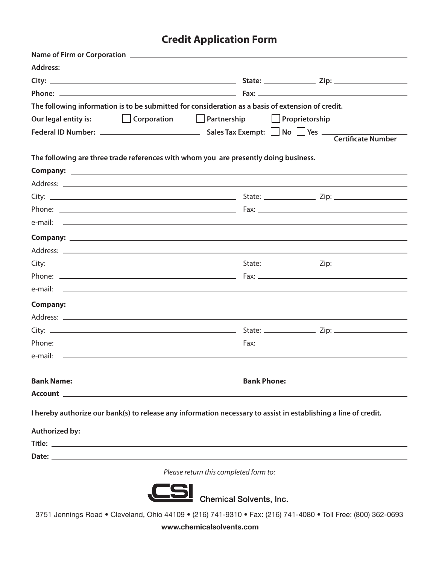## **Credit Application Form**

|                                                                                      | The following information is to be submitted for consideration as a basis of extension of credit.                      |  |
|--------------------------------------------------------------------------------------|------------------------------------------------------------------------------------------------------------------------|--|
| Our legal entity is:                                                                 | Corporation   Partnership   Proprietorship                                                                             |  |
|                                                                                      |                                                                                                                        |  |
|                                                                                      |                                                                                                                        |  |
| The following are three trade references with whom you are presently doing business. |                                                                                                                        |  |
|                                                                                      |                                                                                                                        |  |
|                                                                                      |                                                                                                                        |  |
|                                                                                      |                                                                                                                        |  |
|                                                                                      |                                                                                                                        |  |
|                                                                                      |                                                                                                                        |  |
|                                                                                      |                                                                                                                        |  |
|                                                                                      |                                                                                                                        |  |
|                                                                                      |                                                                                                                        |  |
|                                                                                      |                                                                                                                        |  |
|                                                                                      |                                                                                                                        |  |
|                                                                                      |                                                                                                                        |  |
|                                                                                      |                                                                                                                        |  |
|                                                                                      |                                                                                                                        |  |
|                                                                                      |                                                                                                                        |  |
|                                                                                      |                                                                                                                        |  |
|                                                                                      |                                                                                                                        |  |
|                                                                                      |                                                                                                                        |  |
|                                                                                      |                                                                                                                        |  |
|                                                                                      | I hereby authorize our bank(s) to release any information necessary to assist in establishing a line of credit.        |  |
|                                                                                      | Authorized by: <u>New York: Authorized by:</u> New York: New York: New York: New York: New York: New York: New York: N |  |
|                                                                                      |                                                                                                                        |  |
|                                                                                      |                                                                                                                        |  |
|                                                                                      | Please return this completed form to:                                                                                  |  |
|                                                                                      |                                                                                                                        |  |



Chemical Solvents, Inc.<br>3751 Jennings Road • Cleveland, Ohio 44109 • (216) 741-9310 • Fax: (216) 741-4080 • Toll Free: (800) 362-0693

**www.chemicalsolvents.com**